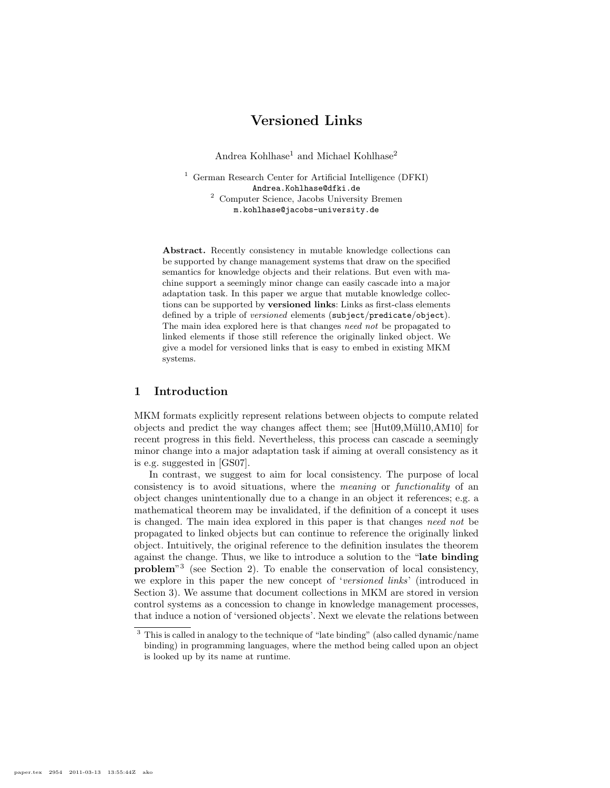# Versioned Links

Andrea Kohlhase<sup>1</sup> and Michael Kohlhase<sup>2</sup>

<sup>1</sup> German Research Center for Artificial Intelligence (DFKI) Andrea.Kohlhase@dfki.de <sup>2</sup> Computer Science, Jacobs University Bremen m.kohlhase@jacobs-university.de

Abstract. Recently consistency in mutable knowledge collections can be supported by change management systems that draw on the specified semantics for knowledge objects and their relations. But even with machine support a seemingly minor change can easily cascade into a major adaptation task. In this paper we argue that mutable knowledge collections can be supported by versioned links: Links as first-class elements defined by a triple of *versioned* elements (subject/predicate/object). The main idea explored here is that changes need not be propagated to linked elements if those still reference the originally linked object. We give a model for versioned links that is easy to embed in existing MKM systems.

# 1 Introduction

MKM formats explicitly represent relations between objects to compute related objects and predict the way changes affect them; see  $[Hut09,Mü10,AM10]$  for recent progress in this field. Nevertheless, this process can cascade a seemingly minor change into a major adaptation task if aiming at overall consistency as it is e.g. suggested in [GS07].

In contrast, we suggest to aim for local consistency. The purpose of local consistency is to avoid situations, where the meaning or functionality of an object changes unintentionally due to a change in an object it references; e.g. a mathematical theorem may be invalidated, if the definition of a concept it uses is changed. The main idea explored in this paper is that changes need not be propagated to linked objects but can continue to reference the originally linked object. Intuitively, the original reference to the definition insulates the theorem against the change. Thus, we like to introduce a solution to the "late binding problem" 3 (see Section 2). To enable the conservation of local consistency, we explore in this paper the new concept of 'versioned links' (introduced in Section 3). We assume that document collections in MKM are stored in version control systems as a concession to change in knowledge management processes, that induce a notion of 'versioned objects'. Next we elevate the relations between

<sup>3</sup> This is called in analogy to the technique of "late binding" (also called dynamic/name binding) in programming languages, where the method being called upon an object is looked up by its name at runtime.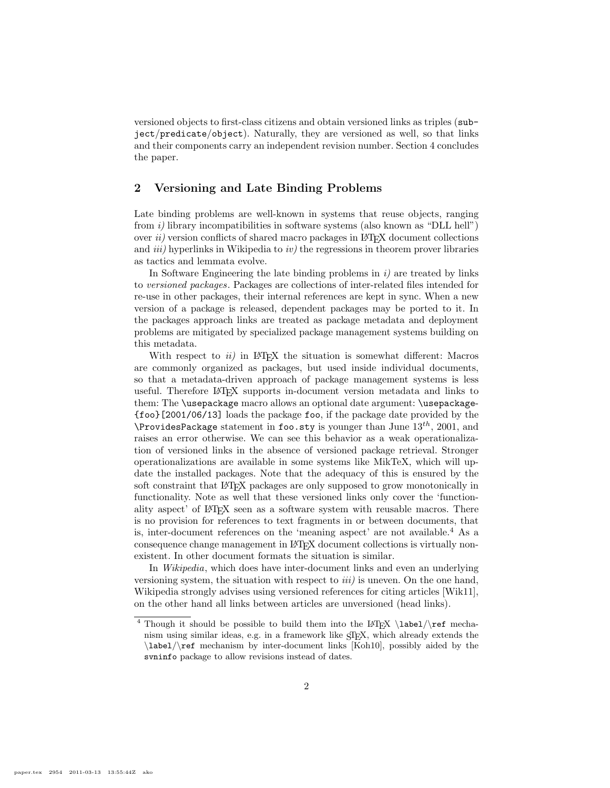versioned objects to first-class citizens and obtain versioned links as triples (subject/predicate/object). Naturally, they are versioned as well, so that links and their components carry an independent revision number. Section 4 concludes the paper.

# 2 Versioning and Late Binding Problems

Late binding problems are well-known in systems that reuse objects, ranging from  $i$ ) library incompatibilities in software systems (also known as "DLL hell") over  $ii$ ) version conflicts of shared macro packages in LAT<sub>EX</sub> document collections and  $iii)$  hyperlinks in Wikipedia to  $iv)$  the regressions in theorem prover libraries as tactics and lemmata evolve.

In Software Engineering the late binding problems in  $i$ ) are treated by links to versioned packages. Packages are collections of inter-related files intended for re-use in other packages, their internal references are kept in sync. When a new version of a package is released, dependent packages may be ported to it. In the packages approach links are treated as package metadata and deployment problems are mitigated by specialized package management systems building on this metadata.

With respect to  $ii$ ) in LAT<sub>EX</sub> the situation is somewhat different: Macros are commonly organized as packages, but used inside individual documents, so that a metadata-driven approach of package management systems is less useful. Therefore LATEX supports in-document version metadata and links to them: The \usepackage macro allows an optional date argument: \usepackage- {foo}[2001/06/13] loads the package foo, if the package date provided by the \ProvidesPackage statement in foo.sty is younger than June  $13^{th}$ , 2001, and raises an error otherwise. We can see this behavior as a weak operationalization of versioned links in the absence of versioned package retrieval. Stronger operationalizations are available in some systems like MikTeX, which will update the installed packages. Note that the adequacy of this is ensured by the soft constraint that LAT<sub>EX</sub> packages are only supposed to grow monotonically in functionality. Note as well that these versioned links only cover the 'functionality aspect' of LATEX seen as a software system with reusable macros. There is no provision for references to text fragments in or between documents, that is, inter-document references on the 'meaning aspect' are not available.<sup>4</sup> As a consequence change management in LATEX document collections is virtually nonexistent. In other document formats the situation is similar.

In Wikipedia, which does have inter-document links and even an underlying versioning system, the situation with respect to  $iii$ ) is uneven. On the one hand, Wikipedia strongly advises using versioned references for citing articles [Wik11], on the other hand all links between articles are unversioned (head links).

<sup>&</sup>lt;sup>4</sup> Though it should be possible to build them into the LATEX  $\label{eq:thm}$  label/ $\ref{mecha-}$ nism using similar ideas, e.g. in a framework like STEX, which already extends the \label/\ref mechanism by inter-document links [Koh10], possibly aided by the svninfo package to allow revisions instead of dates.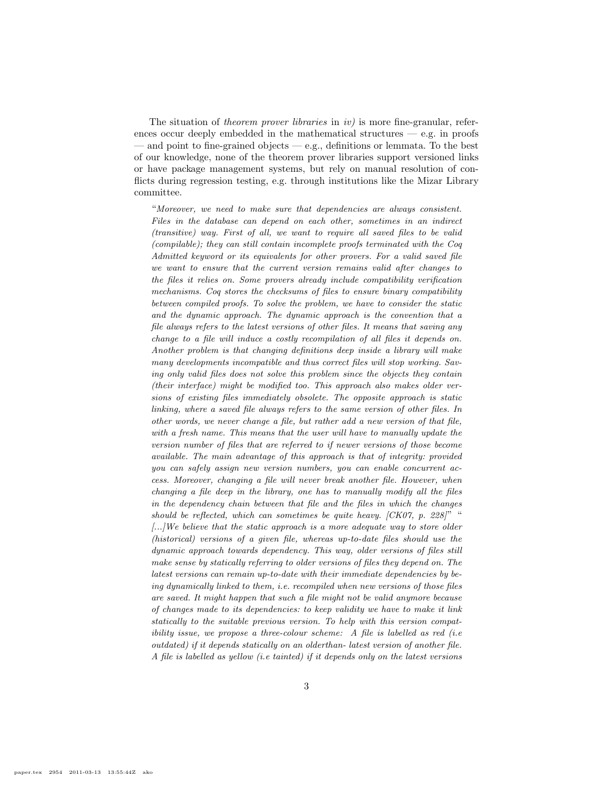The situation of theorem prover libraries in  $iv$ ) is more fine-granular, references occur deeply embedded in the mathematical structures  $-$  e.g. in proofs and point to fine-grained objects  $-$  e.g., definitions or lemmata. To the best of our knowledge, none of the theorem prover libraries support versioned links or have package management systems, but rely on manual resolution of conflicts during regression testing, e.g. through institutions like the Mizar Library committee.

"Moreover, we need to make sure that dependencies are always consistent. Files in the database can depend on each other, sometimes in an indirect (transitive) way. First of all, we want to require all saved files to be valid (compilable); they can still contain incomplete proofs terminated with the Coq Admitted keyword or its equivalents for other provers. For a valid saved file we want to ensure that the current version remains valid after changes to the files it relies on. Some provers already include compatibility verification mechanisms. Coq stores the checksums of files to ensure binary compatibility between compiled proofs. To solve the problem, we have to consider the static and the dynamic approach. The dynamic approach is the convention that a file always refers to the latest versions of other files. It means that saving any change to a file will induce a costly recompilation of all files it depends on. Another problem is that changing definitions deep inside a library will make many developments incompatible and thus correct files will stop working. Saving only valid files does not solve this problem since the objects they contain (their interface) might be modified too. This approach also makes older versions of existing files immediately obsolete. The opposite approach is static linking, where a saved file always refers to the same version of other files. In other words, we never change a file, but rather add a new version of that file, with a fresh name. This means that the user will have to manually update the version number of files that are referred to if newer versions of those become available. The main advantage of this approach is that of integrity: provided you can safely assign new version numbers, you can enable concurrent access. Moreover, changing a file will never break another file. However, when changing a file deep in the library, one has to manually modify all the files in the dependency chain between that file and the files in which the changes should be reflected, which can sometimes be quite heavy.  $[CK07, p. 228]$ "  $\langle ... \rangle$ We believe that the static approach is a more adequate way to store older (historical) versions of a given file, whereas up-to-date files should use the dynamic approach towards dependency. This way, older versions of files still make sense by statically referring to older versions of files they depend on. The latest versions can remain up-to-date with their immediate dependencies by being dynamically linked to them, i.e. recompiled when new versions of those files are saved. It might happen that such a file might not be valid anymore because of changes made to its dependencies: to keep validity we have to make it link statically to the suitable previous version. To help with this version compatibility issue, we propose a three-colour scheme: A file is labelled as red (i.e. outdated) if it depends statically on an olderthan- latest version of another file. A file is labelled as yellow (i.e tainted) if it depends only on the latest versions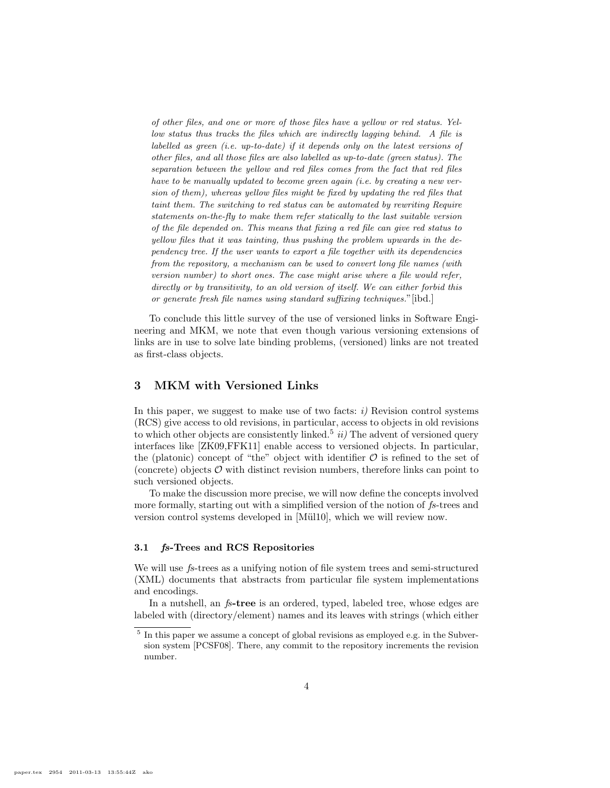of other files, and one or more of those files have a yellow or red status. Yellow status thus tracks the files which are indirectly lagging behind. A file is labelled as green (i.e. up-to-date) if it depends only on the latest versions of other files, and all those files are also labelled as up-to-date (green status). The separation between the yellow and red files comes from the fact that red files have to be manually updated to become green again (i.e. by creating a new version of them), whereas yellow files might be fixed by updating the red files that taint them. The switching to red status can be automated by rewriting Require statements on-the-fly to make them refer statically to the last suitable version of the file depended on. This means that fixing a red file can give red status to yellow files that it was tainting, thus pushing the problem upwards in the dependency tree. If the user wants to export a file together with its dependencies from the repository, a mechanism can be used to convert long file names (with version number) to short ones. The case might arise where a file would refer, directly or by transitivity, to an old version of itself. We can either forbid this or generate fresh file names using standard suffixing techniques." [ibd.]

To conclude this little survey of the use of versioned links in Software Engineering and MKM, we note that even though various versioning extensions of links are in use to solve late binding problems, (versioned) links are not treated as first-class objects.

# 3 MKM with Versioned Links

In this paper, we suggest to make use of two facts:  $i$ ) Revision control systems (RCS) give access to old revisions, in particular, access to objects in old revisions to which other objects are consistently linked.<sup>5</sup>  $ii$ ) The advent of versioned query interfaces like [ZK09,FFK11] enable access to versioned objects. In particular, the (platonic) concept of "the" object with identifier  $\mathcal O$  is refined to the set of (concrete) objects  $\mathcal O$  with distinct revision numbers, therefore links can point to such versioned objects.

To make the discussion more precise, we will now define the concepts involved more formally, starting out with a simplified version of the notion of fs-trees and version control systems developed in [Mül10], which we will review now.

## 3.1 fs-Trees and RCS Repositories

We will use fs-trees as a unifying notion of file system trees and semi-structured (XML) documents that abstracts from particular file system implementations and encodings.

In a nutshell, an fs-tree is an ordered, typed, labeled tree, whose edges are labeled with (directory/element) names and its leaves with strings (which either

<sup>&</sup>lt;sup>5</sup> In this paper we assume a concept of global revisions as employed e.g. in the Subversion system [PCSF08]. There, any commit to the repository increments the revision number.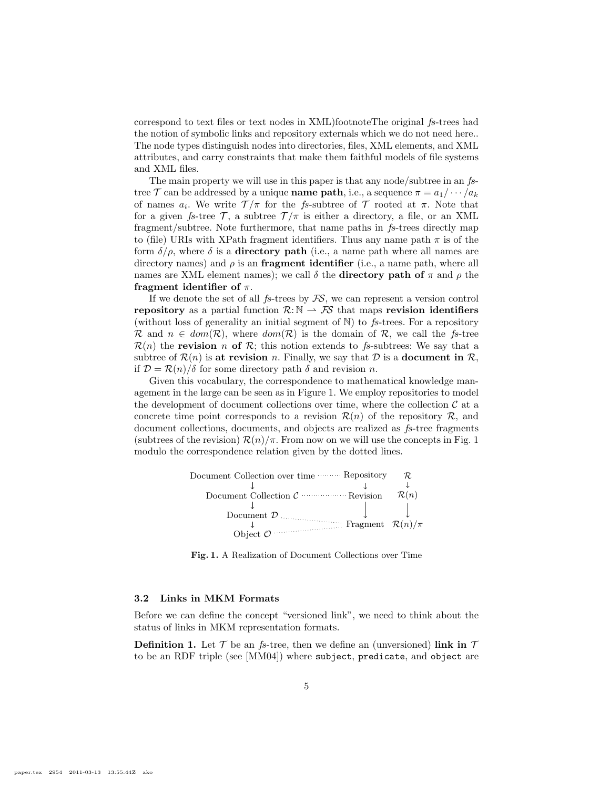correspond to text files or text nodes in XML)footnoteThe original fs-trees had the notion of symbolic links and repository externals which we do not need here.. The node types distinguish nodes into directories, files, XML elements, and XML attributes, and carry constraints that make them faithful models of file systems and XML files.

The main property we will use in this paper is that any node/subtree in an fstree T can be addressed by a unique **name path**, i.e., a sequence  $\pi = a_1 / \cdots / a_k$ of names  $a_i$ . We write  $\mathcal{T}/\pi$  for the *fs*-subtree of  $\mathcal T$  rooted at  $\pi$ . Note that for a given fs-tree  $\mathcal{T}$ , a subtree  $\mathcal{T}/\pi$  is either a directory, a file, or an XML fragment/subtree. Note furthermore, that name paths in fs-trees directly map to (file) URIs with XPath fragment identifiers. Thus any name path  $\pi$  is of the form  $\delta/\rho$ , where  $\delta$  is a **directory path** (i.e., a name path where all names are directory names) and  $\rho$  is an **fragment identifier** (i.e., a name path, where all names are XML element names); we call  $\delta$  the **directory path of**  $\pi$  and  $\rho$  the fragment identifier of  $\pi$ .

If we denote the set of all  $fs$ -trees by  $FS$ , we can represent a version control repository as a partial function  $\mathcal{R}: \mathbb{N} \to \mathcal{F}\mathcal{S}$  that maps revision identifiers (without loss of generality an initial segment of  $\mathbb N$ ) to fs-trees. For a repository  $\mathcal R$  and  $n \in dom(\mathcal R)$ , where  $dom(\mathcal R)$  is the domain of  $\mathcal R$ , we call the fs-tree  $\mathcal{R}(n)$  the revision n of R; this notion extends to fs-subtrees: We say that a subtree of  $\mathcal{R}(n)$  is at revision n. Finally, we say that D is a document in R, if  $\mathcal{D} = \mathcal{R}(n)/\delta$  for some directory path  $\delta$  and revision n.

Given this vocabulary, the correspondence to mathematical knowledge management in the large can be seen as in Figure 1. We employ repositories to model the development of document collections over time, where the collection  $\mathcal C$  at a concrete time point corresponds to a revision  $\mathcal{R}(n)$  of the repository  $\mathcal{R}$ , and document collections, documents, and objects are realized as  $fs$ -tree fragments (subtrees of the revision)  $\mathcal{R}(n)/\pi$ . From now on we will use the concepts in Fig. 1 modulo the correspondence relation given by the dotted lines.



Fig. 1. A Realization of Document Collections over Time

#### 3.2 Links in MKM Formats

Before we can define the concept "versioned link", we need to think about the status of links in MKM representation formats.

**Definition 1.** Let  $\mathcal T$  be an *fs*-tree, then we define an (unversioned) link in  $\mathcal T$ to be an RDF triple (see [MM04]) where subject, predicate, and object are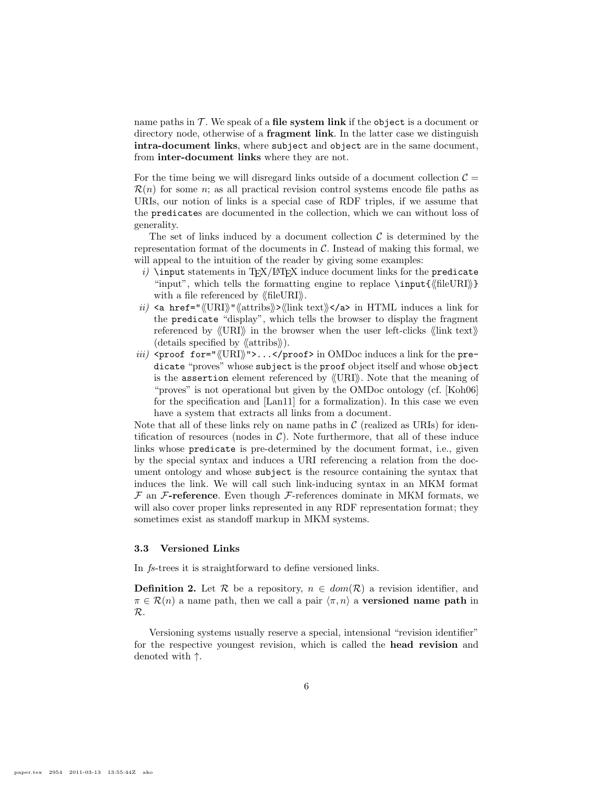name paths in  $\mathcal T$ . We speak of a file system link if the object is a document or directory node, otherwise of a **fragment link**. In the latter case we distinguish intra-document links, where subject and object are in the same document, from inter-document links where they are not.

For the time being we will disregard links outside of a document collection  $\mathcal{C} =$  $\mathcal{R}(n)$  for some n; as all practical revision control systems encode file paths as URIs, our notion of links is a special case of RDF triples, if we assume that the predicates are documented in the collection, which we can without loss of generality.

The set of links induced by a document collection  $\mathcal C$  is determined by the representation format of the documents in  $\mathcal{C}$ . Instead of making this formal, we will appeal to the intuition of the reader by giving some examples:

- i) \input statements in TEX/LATEX induce document links for the predicate "input", which tells the formatting engine to replace  $\infty$  \input{ $\{$ fileURI}} with a file referenced by  $\langle\langle\text{fileURI}\rangle\rangle$ .
- $ii)$  <a href=" $\langle \text{URI} \rangle$ " $\langle \text{attributes} \rangle$ > $\langle \text{link text} \rangle$  </a> in HTML induces a link for the predicate "display", which tells the browser to display the fragment referenced by  $\langle \text{URI}\rangle$  in the browser when the user left-clicks  $\langle \text{link text}\rangle$ (details specified by  $\langle\langle \text{attribs} \rangle\rangle$ ).
- *iii*)  $\langle$ proof for=" $\langle$ URI $\rangle$ ">... $\langle$ /proof> in OMDoc induces a link for the predicate "proves" whose subject is the proof object itself and whose object is the assertion element referenced by  $\langle \text{URI} \rangle$ . Note that the meaning of "proves" is not operational but given by the OMDoc ontology (cf. [Koh06] for the specification and [Lan11] for a formalization). In this case we even have a system that extracts all links from a document.

Note that all of these links rely on name paths in  $\mathcal C$  (realized as URIs) for identification of resources (nodes in  $C$ ). Note furthermore, that all of these induce links whose predicate is pre-determined by the document format, i.e., given by the special syntax and induces a URI referencing a relation from the document ontology and whose subject is the resource containing the syntax that induces the link. We will call such link-inducing syntax in an MKM format  $\mathcal F$  an  $\mathcal F$ -reference. Even though  $\mathcal F$ -references dominate in MKM formats, we will also cover proper links represented in any RDF representation format; they sometimes exist as standoff markup in MKM systems.

### 3.3 Versioned Links

In fs-trees it is straightforward to define versioned links.

**Definition 2.** Let R be a repository,  $n \in dom(R)$  a revision identifier, and  $\pi \in \mathcal{R}(n)$  a name path, then we call a pair  $\langle \pi, n \rangle$  a versioned name path in R.

Versioning systems usually reserve a special, intensional "revision identifier" for the respective youngest revision, which is called the head revision and denoted with ↑.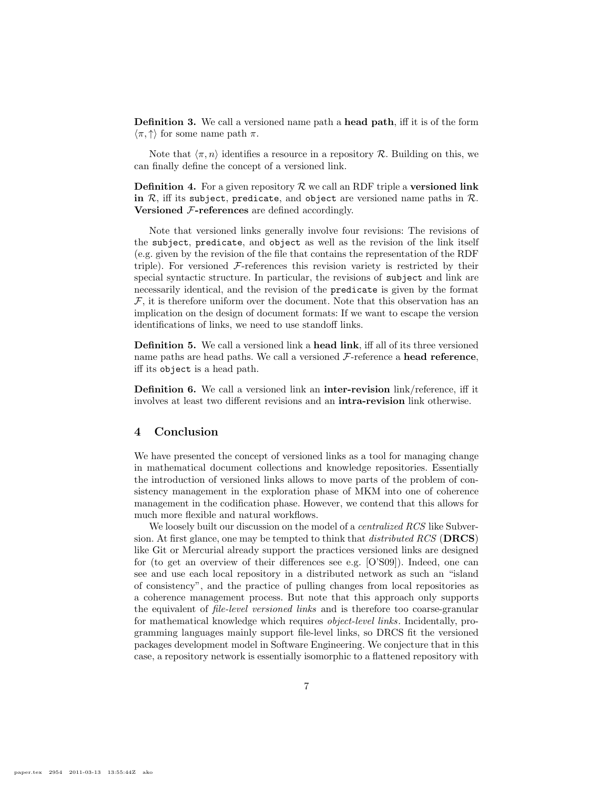Definition 3. We call a versioned name path a head path, iff it is of the form  $\langle \pi, \uparrow \rangle$  for some name path  $\pi$ .

Note that  $\langle \pi, n \rangle$  identifies a resource in a repository R. Building on this, we can finally define the concept of a versioned link.

**Definition 4.** For a given repository  $\mathcal{R}$  we call an RDF triple a versioned link in  $\mathcal{R}$ , iff its subject, predicate, and object are versioned name paths in  $\mathcal{R}$ . Versioned F-references are defined accordingly.

Note that versioned links generally involve four revisions: The revisions of the subject, predicate, and object as well as the revision of the link itself (e.g. given by the revision of the file that contains the representation of the RDF triple). For versioned  $\mathcal{F}\text{-references}$  this revision variety is restricted by their special syntactic structure. In particular, the revisions of subject and link are necessarily identical, and the revision of the predicate is given by the format  $\mathcal{F}$ , it is therefore uniform over the document. Note that this observation has an implication on the design of document formats: If we want to escape the version identifications of links, we need to use standoff links.

Definition 5. We call a versioned link a head link, iff all of its three versioned name paths are head paths. We call a versioned  $\mathcal{F}\text{-reference}$  a head reference, iff its object is a head path.

Definition 6. We call a versioned link an inter-revision link/reference, iff it involves at least two different revisions and an intra-revision link otherwise.

# 4 Conclusion

We have presented the concept of versioned links as a tool for managing change in mathematical document collections and knowledge repositories. Essentially the introduction of versioned links allows to move parts of the problem of consistency management in the exploration phase of MKM into one of coherence management in the codification phase. However, we contend that this allows for much more flexible and natural workflows.

We loosely built our discussion on the model of a *centralized RCS* like Subversion. At first glance, one may be tempted to think that *distributed RCS* (**DRCS**) like Git or Mercurial already support the practices versioned links are designed for (to get an overview of their differences see e.g. [O'S09]). Indeed, one can see and use each local repository in a distributed network as such an "island of consistency", and the practice of pulling changes from local repositories as a coherence management process. But note that this approach only supports the equivalent of file-level versioned links and is therefore too coarse-granular for mathematical knowledge which requires object-level links. Incidentally, programming languages mainly support file-level links, so DRCS fit the versioned packages development model in Software Engineering. We conjecture that in this case, a repository network is essentially isomorphic to a flattened repository with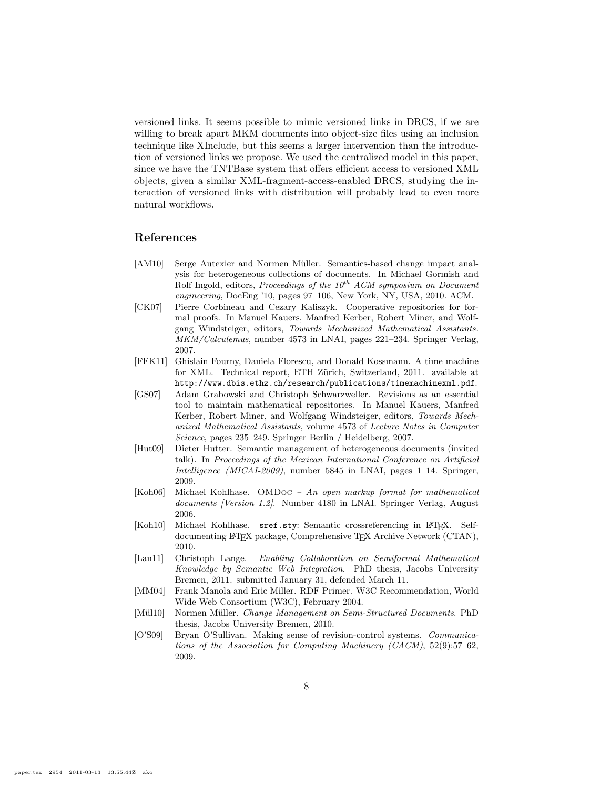versioned links. It seems possible to mimic versioned links in DRCS, if we are willing to break apart MKM documents into object-size files using an inclusion technique like XInclude, but this seems a larger intervention than the introduction of versioned links we propose. We used the centralized model in this paper, since we have the TNTBase system that offers efficient access to versioned XML objects, given a similar XML-fragment-access-enabled DRCS, studying the interaction of versioned links with distribution will probably lead to even more natural workflows.

## References

- [AM10] Serge Autexier and Normen Müller. Semantics-based change impact analysis for heterogeneous collections of documents. In Michael Gormish and Rolf Ingold, editors, Proceedings of the  $10^{th}$  ACM symposium on Document engineering, DocEng '10, pages 97–106, New York, NY, USA, 2010. ACM.
- [CK07] Pierre Corbineau and Cezary Kaliszyk. Cooperative repositories for formal proofs. In Manuel Kauers, Manfred Kerber, Robert Miner, and Wolfgang Windsteiger, editors, Towards Mechanized Mathematical Assistants. MKM/Calculemus, number 4573 in LNAI, pages 221–234. Springer Verlag, 2007.
- [FFK11] Ghislain Fourny, Daniela Florescu, and Donald Kossmann. A time machine for XML. Technical report, ETH Zürich, Switzerland, 2011. available at http://www.dbis.ethz.ch/research/publications/timemachinexml.pdf.
- [GS07] Adam Grabowski and Christoph Schwarzweller. Revisions as an essential tool to maintain mathematical repositories. In Manuel Kauers, Manfred Kerber, Robert Miner, and Wolfgang Windsteiger, editors, Towards Mechanized Mathematical Assistants, volume 4573 of Lecture Notes in Computer Science, pages 235–249. Springer Berlin / Heidelberg, 2007.
- [Hut09] Dieter Hutter. Semantic management of heterogeneous documents (invited talk). In Proceedings of the Mexican International Conference on Artificial Intelligence (MICAI-2009), number 5845 in LNAI, pages 1–14. Springer, 2009.
- [Koh06] Michael Kohlhase. OMDoc An open markup format for mathematical documents [Version 1.2]. Number 4180 in LNAI. Springer Verlag, August 2006.
- [Koh10] Michael Kohlhase. sref.sty: Semantic crossreferencing in LATEX. Selfdocumenting LAT<sub>E</sub>X package, Comprehensive T<sub>E</sub>X Archive Network (CTAN), 2010.
- [Lan11] Christoph Lange. Enabling Collaboration on Semiformal Mathematical Knowledge by Semantic Web Integration. PhD thesis, Jacobs University Bremen, 2011. submitted January 31, defended March 11.
- [MM04] Frank Manola and Eric Miller. RDF Primer. W3C Recommendation, World Wide Web Consortium (W3C), February 2004.
- [Mül10] Normen Müller. Change Management on Semi-Structured Documents. PhD thesis, Jacobs University Bremen, 2010.
- [O'S09] Bryan O'Sullivan. Making sense of revision-control systems. Communications of the Association for Computing Machinery (CACM), 52(9):57–62, 2009.